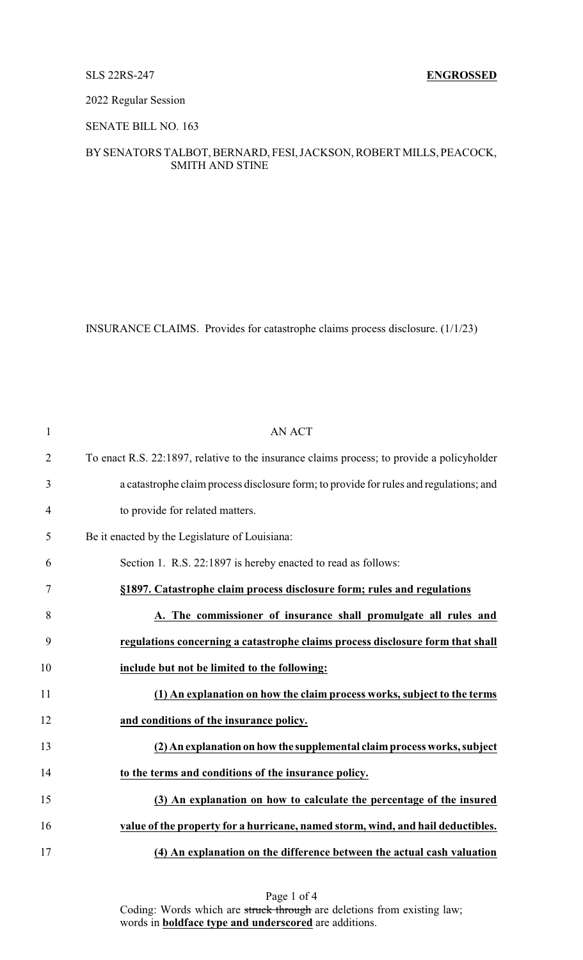## 2022 Regular Session

## SENATE BILL NO. 163

# BYSENATORS TALBOT, BERNARD, FESI, JACKSON, ROBERT MILLS, PEACOCK, SMITH AND STINE

INSURANCE CLAIMS. Provides for catastrophe claims process disclosure. (1/1/23)

| $\mathbf{1}$   | <b>AN ACT</b>                                                                              |
|----------------|--------------------------------------------------------------------------------------------|
| $\overline{2}$ | To enact R.S. 22:1897, relative to the insurance claims process; to provide a policyholder |
| 3              | a catastrophe claim process disclosure form; to provide for rules and regulations; and     |
| $\overline{4}$ | to provide for related matters.                                                            |
| 5              | Be it enacted by the Legislature of Louisiana:                                             |
| 6              | Section 1. R.S. 22:1897 is hereby enacted to read as follows:                              |
| 7              | §1897. Catastrophe claim process disclosure form; rules and regulations                    |
| 8              | A. The commissioner of insurance shall promulgate all rules and                            |
| 9              | regulations concerning a catastrophe claims process disclosure form that shall             |
| 10             | include but not be limited to the following:                                               |
| 11             | (1) An explanation on how the claim process works, subject to the terms                    |
| 12             | and conditions of the insurance policy.                                                    |
| 13             | (2) An explanation on how the supplemental claim process works, subject                    |
| 14             | to the terms and conditions of the insurance policy.                                       |
| 15             | (3) An explanation on how to calculate the percentage of the insured                       |
| 16             | value of the property for a hurricane, named storm, wind, and hail deductibles.            |
| 17             | (4) An explanation on the difference between the actual cash valuation                     |

Page 1 of 4 Coding: Words which are struck through are deletions from existing law; words in **boldface type and underscored** are additions.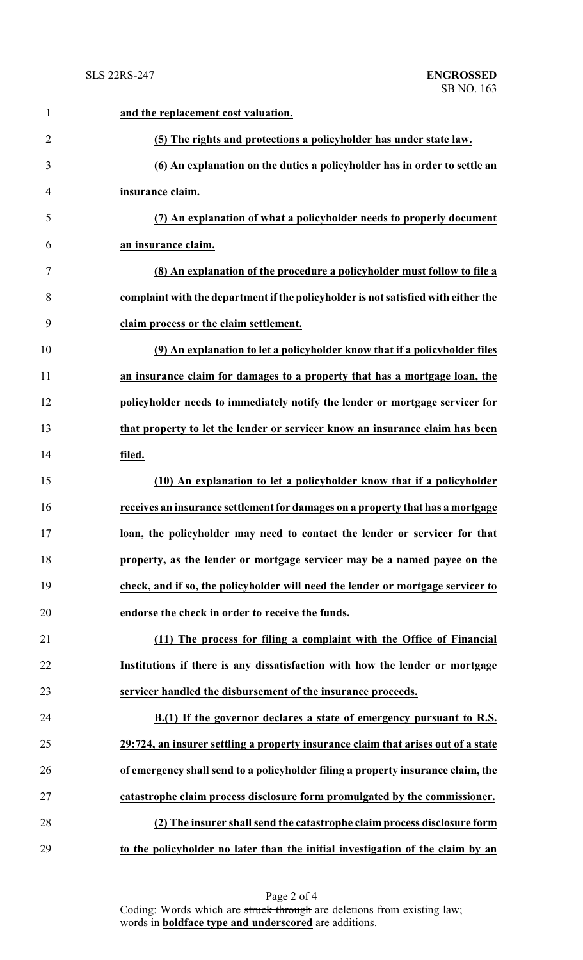| $\mathbf{1}$   | and the replacement cost valuation.                                                |
|----------------|------------------------------------------------------------------------------------|
| $\overline{2}$ | (5) The rights and protections a policyholder has under state law.                 |
| 3              | (6) An explanation on the duties a policyholder has in order to settle an          |
| 4              | insurance claim.                                                                   |
| 5              | (7) An explanation of what a policyholder needs to properly document               |
| 6              | an insurance claim.                                                                |
| 7              | (8) An explanation of the procedure a policyholder must follow to file a           |
| 8              | complaint with the department if the policyholder is not satisfied with either the |
| 9              | claim process or the claim settlement.                                             |
| 10             | (9) An explanation to let a policyholder know that if a policyholder files         |
| 11             | an insurance claim for damages to a property that has a mortgage loan, the         |
| 12             | policyholder needs to immediately notify the lender or mortgage servicer for       |
| 13             | that property to let the lender or servicer know an insurance claim has been       |
| 14             | filed.                                                                             |
| 15             | (10) An explanation to let a policyholder know that if a policyholder              |
| 16             | receives an insurance settlement for damages on a property that has a mortgage     |
| 17             | loan, the policyholder may need to contact the lender or servicer for that         |
| 18             | property, as the lender or mortgage servicer may be a named payee on the           |
| 19             | check, and if so, the policyholder will need the lender or mortgage servicer to    |
| 20             | endorse the check in order to receive the funds.                                   |
| 21             | (11) The process for filing a complaint with the Office of Financial               |
| 22             | Institutions if there is any dissatisfaction with how the lender or mortgage       |
| 23             | servicer handled the disbursement of the insurance proceeds.                       |
| 24             | B.(1) If the governor declares a state of emergency pursuant to R.S.               |
| 25             | 29:724, an insurer settling a property insurance claim that arises out of a state  |
| 26             | of emergency shall send to a policyholder filing a property insurance claim, the   |
| 27             | catastrophe claim process disclosure form promulgated by the commissioner.         |
| 28             | (2) The insurer shall send the catastrophe claim process disclosure form           |
| 29             | to the policyholder no later than the initial investigation of the claim by an     |

Page 2 of 4 Coding: Words which are struck through are deletions from existing law; words in **boldface type and underscored** are additions.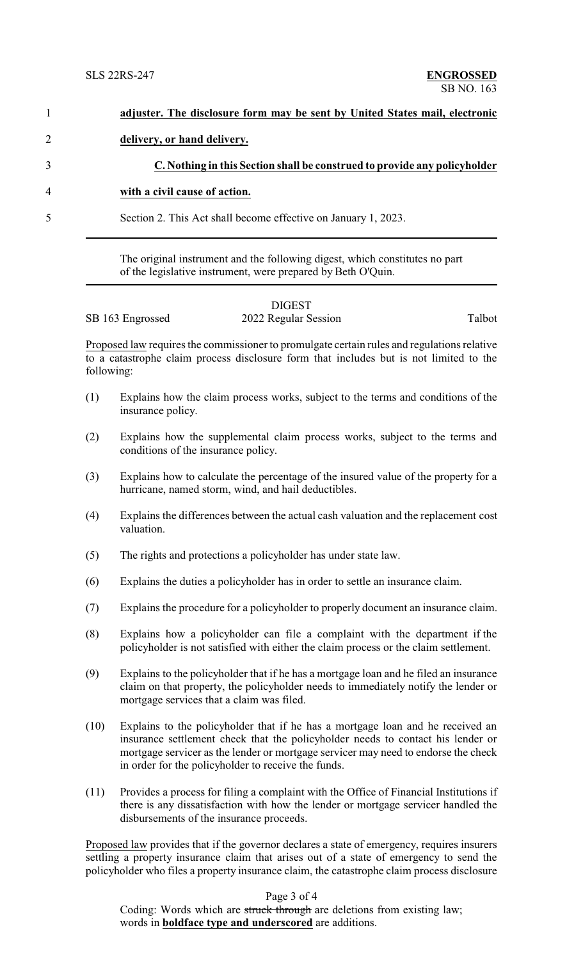|            | adjuster. The disclosure form may be sent by United States mail, electronic                                                                                                                                                                                                                                    |
|------------|----------------------------------------------------------------------------------------------------------------------------------------------------------------------------------------------------------------------------------------------------------------------------------------------------------------|
|            | delivery, or hand delivery.                                                                                                                                                                                                                                                                                    |
|            | C. Nothing in this Section shall be construed to provide any policyholder                                                                                                                                                                                                                                      |
|            | with a civil cause of action.                                                                                                                                                                                                                                                                                  |
|            | Section 2. This Act shall become effective on January 1, 2023.                                                                                                                                                                                                                                                 |
|            | The original instrument and the following digest, which constitutes no part<br>of the legislative instrument, were prepared by Beth O'Quin.                                                                                                                                                                    |
|            | <b>DIGEST</b><br>Talbot<br>2022 Regular Session<br>SB 163 Engrossed                                                                                                                                                                                                                                            |
|            |                                                                                                                                                                                                                                                                                                                |
| following: | Proposed law requires the commissioner to promulgate certain rules and regulations relative<br>to a catastrophe claim process disclosure form that includes but is not limited to the                                                                                                                          |
| (1)        | Explains how the claim process works, subject to the terms and conditions of the<br>insurance policy.                                                                                                                                                                                                          |
| (2)        | Explains how the supplemental claim process works, subject to the terms and<br>conditions of the insurance policy.                                                                                                                                                                                             |
| (3)        | Explains how to calculate the percentage of the insured value of the property for a<br>hurricane, named storm, wind, and hail deductibles.                                                                                                                                                                     |
| (4)        | Explains the differences between the actual cash valuation and the replacement cost<br>valuation.                                                                                                                                                                                                              |
| (5)        | The rights and protections a policyholder has under state law.                                                                                                                                                                                                                                                 |
| (6)        | Explains the duties a policyholder has in order to settle an insurance claim.                                                                                                                                                                                                                                  |
| (7)        | Explains the procedure for a policyholder to properly document an insurance claim.                                                                                                                                                                                                                             |
| (8)        | Explains how a policyholder can file a complaint with the department if the<br>policyholder is not satisfied with either the claim process or the claim settlement.                                                                                                                                            |
| (9)        | Explains to the policyholder that if he has a mortgage loan and he filed an insurance<br>claim on that property, the policyholder needs to immediately notify the lender or<br>mortgage services that a claim was filed.                                                                                       |
| (10)       | Explains to the policyholder that if he has a mortgage loan and he received an<br>insurance settlement check that the policyholder needs to contact his lender or<br>mortgage servicer as the lender or mortgage servicer may need to endorse the check<br>in order for the policyholder to receive the funds. |
| (11)       | Provides a process for filing a complaint with the Office of Financial Institutions if<br>there is any dissatisfaction with how the lender or mortgage servicer handled the<br>disbursements of the insurance proceeds.                                                                                        |
|            | Proposed law provides that if the governor declares a state of emergency, requires insurers<br>settling a property insurance claim that arises out of a state of emergency to send the<br>policyholder who files a property insurance claim, the catastrophe claim process disclosure                          |
|            | Page 3 of 4<br>Coding: Words which are struck through are deletions from existing law;                                                                                                                                                                                                                         |

words in **boldface type and underscored** are additions.